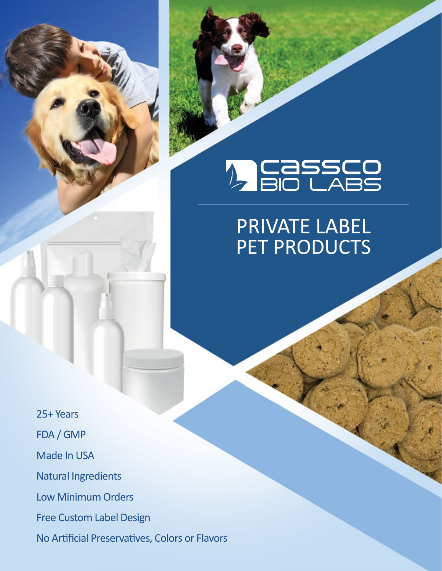# **A CASSCO**<br>**A BIO LABS**

## PRIVATE LABEL PET PRODUCTS

25+ Years FDA / GMP Made In USA Natural Ingredients Low Minimum Orders Free Custom Label Design No Artificial Preservatives, Colors or Flavors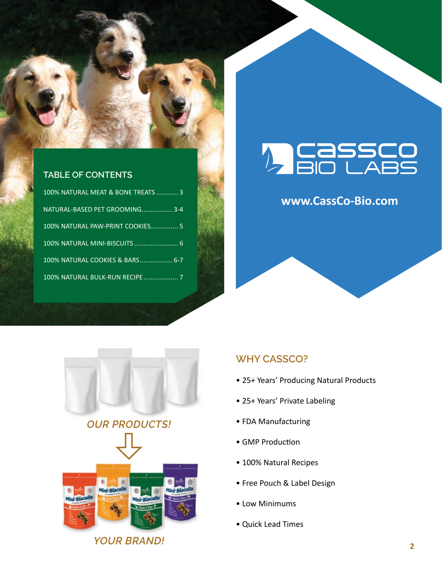

#### **TABLE OF CONTENTS**

| 100% NATURAL MEAT & BONE TREATS  3 |
|------------------------------------|
| NATURAL-BASED PET GROOMING 3-4     |
| 100% NATURAL PAW-PRINT COOKIES 5   |
|                                    |
| 100% NATURAL COOKIES & BARS 6-7    |
| 100% NATURAL BULK-RUN RECIPE 7     |

# **A CASSCO**<br>2 BIO LABS

### **www.CassCo-Bio.com**





#### **WHY CASSCO?**

- 25+ Years' Producing Natural Products
- 25+ Years' Private Labeling
- FDA Manufacturing
- GMP Production
- 100% Natural Recipes
- Free Pouch & Label Design
- Low Minimums
- Quick Lead Times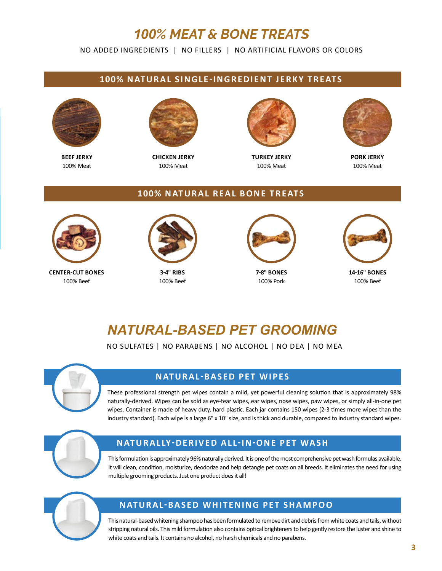## *100% MEAT & BONE TREATS*

NO ADDED INGREDIENTS | NO FILLERS | NO ARTIFICIAL FLAVORS OR COLORS

#### **100% NATURAL SINGLE-INGREDIENT JERKY TREATS**



**BEEF JERKY** 100% Meat



**CHICKEN JERKY** 100% Meat



**TURKEY JERKY** 100% Meat



**PORK JERKY** 100% Meat

#### **100% NATURAL REAL BONE TREATS**



**CENTER-CUT BONES** 100% Beef



**3-4" RIBS** 100% Beef



**7-8" BONES** 100% Pork



**14-16" BONES** 100% Beef

## *NATURAL-BASED PET GROOMING*

NO SULFATES | NO PARABENS | NO ALCOHOL | NO DEA | NO MEA



#### **NATURAL-BASED PET WIPES**

These professional strength pet wipes contain a mild, yet powerful cleaning solution that is approximately 98% naturally-derived. Wipes can be sold as eye-tear wipes, ear wipes, nose wipes, paw wipes, or simply all-in-one pet wipes. Container is made of heavy duty, hard plastic. Each jar contains 150 wipes (2-3 times more wipes than the industry standard). Each wipe is a large 6" x 10" size, and is thick and durable, compared to industry standard wipes.



#### **NATURALLY-DERIVED ALL-IN-ONE PET WASH**

This formulation is approximately 96% naturally derived. It is one of the most comprehensive pet wash formulas available. It will clean, condition, moisturize, deodorize and help detangle pet coats on all breeds. It eliminates the need for using multiple grooming products. Just one product does it all!



#### **NATURAL-BASED WHITENING PET SHAMPOO**

This natural-based whitening shampoo has been formulated to remove dirt and debris from white coats and tails, without stripping natural oils. This mild formulation also contains optical brighteners to help gently restore the luster and shine to white coats and tails. It contains no alcohol, no harsh chemicals and no parabens.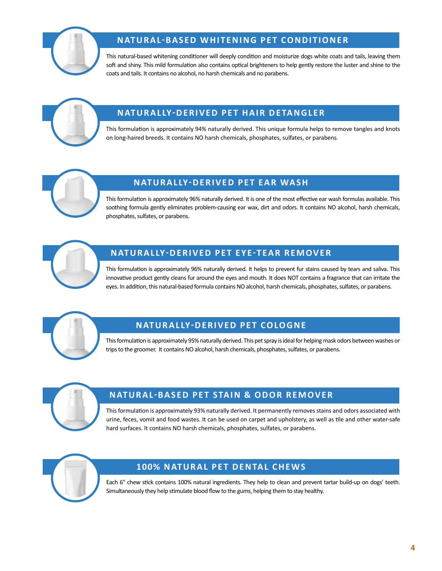

#### **NATURAL-BASED WHITENING PET CONDITIONER**

This natural-based whitening conditioner will deeply condition and moisturize dogs white coats and tails, leaving them soft and shiny. This mild formulation also contains optical brighteners to help gently restore the luster and shine to the coats and tails. It contains no alcohol, no harsh chemicals and no parabens.



#### **NATURALLY-DERIVED PET HAIR DETANGLER**

This formulation is approximately 94% naturally derived. This unique formula helps to remove tangles and knots on long-haired breeds. It contains NO harsh chemicals, phosphates, sulfates, or parabens.



#### **NATURALLY-DERIVED PET EAR WASH**

This formulation is approximately 96% naturally derived. It is one of the most effective ear wash formulas available. This soothing formula gently eliminates problem-causing ear wax, dirt and odors. It contains NO alcohol, harsh chemicals, phosphates, sulfates, or parabens.



#### **NATURALLY-DERIVED PET EYE-TEAR REMOVER**

This formulation is approximately 96% naturally derived. It helps to prevent fur stains caused by tears and saliva. This innovative product gently cleans fur around the eyes and mouth. It does NOT contains a fragrance that can irritate the eyes. In addition, this natural-based formula contains NO alcohol, harsh chemicals, phosphates, sulfates, or parabens.



#### **NATURALLY-DERIVED PET COLOGNE**

This formulation is approximately 95% naturally derived. This pet spray is ideal for helping mask odors between washes or trips to the groomer. It contains NO alcohol, harsh chemicals, phosphates, sulfates, or parabens.



#### **NATURAL-BASED PET STAIN & ODOR REMOVER**

This formulation is approximately 93% naturally derived. It permanently removes stains and odors associated with urine, feces, vomit and food wastes. It can be used on carpet and upholstery, as well as tile and other water-safe hard surfaces. It contains NO harsh chemicals, phosphates, sulfates, or parabens.



#### **100% NATURAL PET DENTAL CHEWS**

Each 6" chew stick contains 100% natural ingredients. They help to clean and prevent tartar build-up on dogs' teeth. Simultaneously they help stimulate blood flow to the gums, helping them to stay healthy.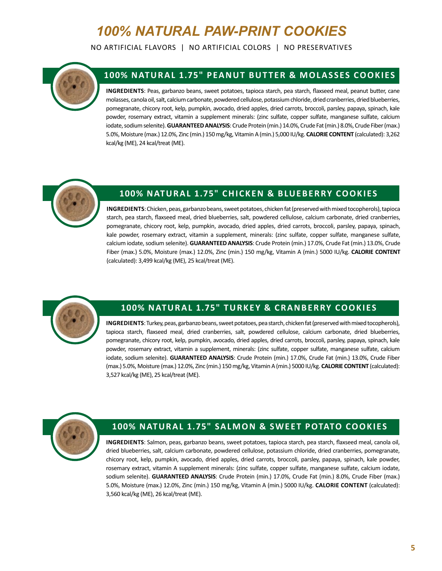## *100% NATURAL PAW-PRINT COOKIES*

NO ARTIFICIAL FLAVORS | NO ARTIFICIAL COLORS | NO PRESERVATIVES



#### **100% NATURAL 1.75" PEANUT BUTTER & MOLASSES COOKIES**

**INGREDIENTS**: Peas, garbanzo beans, sweet potatoes, tapioca starch, pea starch, flaxseed meal, peanut butter, cane molasses, canola oil, salt, calcium carbonate, powdered cellulose, potassium chloride, dried cranberries, dried blueberries, pomegranate, chicory root, kelp, pumpkin, avocado, dried apples, dried carrots, broccoli, parsley, papaya, spinach, kale powder, rosemary extract, vitamin a supplement minerals: (zinc sulfate, copper sulfate, manganese sulfate, calcium iodate, sodium selenite). **GUARANTEED ANALYSIS**: Crude Protein (min.) 14.0%, Crude Fat (min.) 8.0%, Crude Fiber (max.) 5.0%, Moisture (max.) 12.0%, Zinc (min.) 150 mg/kg, Vitamin A (min.) 5,000 IU/kg. **CALORIE CONTENT** (calculated): 3,262 kcal/kg (ME), 24 kcal/treat (ME).



#### **100% NATURAL 1.75" CHICKEN & BLUEBERRY COOKIES**

**INGREDIENTS**: Chicken, peas, garbanzo beans, sweet potatoes, chicken fat (preserved with mixed tocopherols), tapioca starch, pea starch, flaxseed meal, dried blueberries, salt, powdered cellulose, calcium carbonate, dried cranberries, pomegranate, chicory root, kelp, pumpkin, avocado, dried apples, dried carrots, broccoli, parsley, papaya, spinach, kale powder, rosemary extract, vitamin a supplement, minerals: (zinc sulfate, copper sulfate, manganese sulfate, calcium iodate, sodium selenite). **GUARANTEED ANALYSIS**: Crude Protein (min.) 17.0%, Crude Fat (min.) 13.0%, Crude Fiber (max.) 5.0%, Moisture (max.) 12.0%, Zinc (min.) 150 mg/kg, Vitamin A (min.) 5000 IU/kg. **CALORIE CONTENT** (calculated): 3,499 kcal/kg (ME), 25 kcal/treat (ME).



#### **100% NATURAL 1.75" TURKEY & CRANBERRY COOKIES**

**INGREDIENTS**: Turkey, peas, garbanzo beans, sweet potatoes, pea starch, chicken fat (preserved with mixed tocopherols), tapioca starch, flaxseed meal, dried cranberries, salt, powdered cellulose, calcium carbonate, dried blueberries, pomegranate, chicory root, kelp, pumpkin, avocado, dried apples, dried carrots, broccoli, parsley, papaya, spinach, kale powder, rosemary extract, vitamin a supplement, minerals: (zinc sulfate, copper sulfate, manganese sulfate, calcium iodate, sodium selenite). **GUARANTEED ANALYSIS**: Crude Protein (min.) 17.0%, Crude Fat (min.) 13.0%, Crude Fiber (max.) 5.0%, Moisture (max.) 12.0%, Zinc (min.) 150 mg/kg, Vitamin A (min.) 5000 IU/kg. **CALORIE CONTENT** (calculated): 3,527 kcal/kg (ME), 25 kcal/treat (ME).



#### **100% NATURAL 1.75" SALMON & SWEET POTATO COOKIES**

**INGREDIENTS**: Salmon, peas, garbanzo beans, sweet potatoes, tapioca starch, pea starch, flaxseed meal, canola oil, dried blueberries, salt, calcium carbonate, powdered cellulose, potassium chloride, dried cranberries, pomegranate, chicory root, kelp, pumpkin, avocado, dried apples, dried carrots, broccoli, parsley, papaya, spinach, kale powder, rosemary extract, vitamin A supplement minerals: (zinc sulfate, copper sulfate, manganese sulfate, calcium iodate, sodium selenite). **GUARANTEED ANALYSIS**: Crude Protein (min.) 17.0%, Crude Fat (min.) 8.0%, Crude Fiber (max.) 5.0%, Moisture (max.) 12.0%, Zinc (min.) 150 mg/kg, Vitamin A (min.) 5000 IU/kg. **CALORIE CONTENT** (calculated): 3,560 kcal/kg (ME), 26 kcal/treat (ME).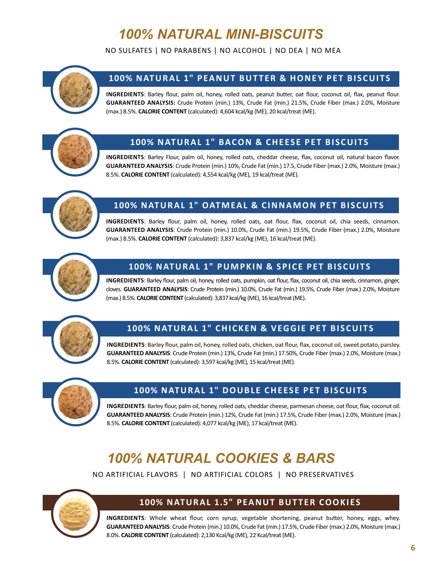## *100% NATURAL MINI-BISCUITS*

NO SULFATES | NO PARABENS | NO ALCOHOL | NO DEA | NO MEA



#### **100% NATURAL 1" PEANUT BUTTER & HONEY PET BISCUITS**

**INGREDIENTS**: Barley flour, palm oil, honey, rolled oats, peanut butter, oat flour, coconut oil, flax, peanut flour. **GUARANTEED ANALYSIS:** Crude Protein (min.) 13%, Crude Fat (min.) 21.5%, Crude Fiber (max.) 2.0%, Moisture (max.) 8.5%. **CALORIE CONTENT** (calculated): 4,604 kcal/kg (ME), 20 kcal/treat (ME).



#### **100% NATURAL 1" BACON & CHEESE PET BISCUITS**

**INGREDIENTS**: Barley Flour, palm oil, honey, rolled oats, cheddar cheese, flax, coconut oil, natural bacon flavor. **GUARANTEED ANALYSIS**: Crude Protein (min.) 10%, Crude Fat (min.) 17.5, Crude Fiber (max.) 2.0%, Moisture (max.) 8.5%. **CALORIE CONTENT** (calculated): 4,554 kcal/kg (ME), 19 kcal/treat (ME).



#### **100% NATURAL 1" OATMEAL & CINNAMON PET BISCUITS**

**INGREDIENTS**: Barley flour, palm oil, honey, rolled oats, oat flour, flax, coconut oil, chia seeds, cinnamon. **GUARANTEED ANALYSIS**: Crude Protein (min.) 10.0%, Crude Fat (min.) 19.5%, Crude Fiber (max.) 2.0%, Moisture (max.) 8.5%. **CALORIE CONTENT** (calculated): 3,837 kcal/kg (ME), 16 kcal/treat (ME).



#### **100% NATURAL 1" PUMPKIN & SPICE PET BISCUITS**

**INGREDIENTS**: Barley flour, palm oil, honey, rolled oats, pumpkin, oat flour, flax, coconut oil, chia seeds, cinnamon, ginger, cloves. **GUARANTEED ANALYSIS**: Crude Protein (min.) 10.0%, Crude Fat (min.) 19.5%, Crude Fiber (max.) 2.0%, Moisture (max.) 8.5%. **CALORIE CONTENT** (calculated): 3,837 kcal/kg (ME), 16 kcal/treat (ME).



#### **100% NATURAL 1" CHICKEN & VEGGIE PET BISCUITS**

**INGREDIENTS**: Barley flour, palm oil, honey, rolled oats, chicken, oat flour, flax, coconut oil, sweet potato, parsley. **GUARANTEED ANALYSIS**: Crude Protein (min.) 13%, Crude Fat (min.) 17.50%, Crude Fiber (max.) 2.0%, Moisture (max.) 8.5%. **CALORIE CONTENT** (calculated): 3,597 kcal/kg (ME), 15 kcal/treat (ME).



#### **100% NATURAL 1" DOUBLE CHEESE PET BISCUITS**

**INGREDIENTS**: Barley flour, palm oil, honey, rolled oats, cheddar cheese, parmesan cheese, oat flour, flax, coconut oil. **GUARANTEED ANALYSIS**: Crude Protein (min.) 12%, Crude Fat (min.) 17.5%, Crude Fiber (max.) 2.0%, Moisture (max.) 8.5%. **CALORIE CONTENT** (calculated): 4,077 kcal/kg (ME), 17 kcal/treat (ME).

### *100% NATURAL COOKIES & BARS*

NO ARTIFICIAL FLAVORS | NO ARTIFICIAL COLORS | NO PRESERVATIVES



#### **100% NATURAL 1.5" PEANUT BUTTER COOKIES**

**INGREDIENTS**: Whole wheat flour, corn syrup, vegetable shortening, peanut butter, honey, eggs, whey. **GUARANTEED ANALYSIS**: Crude Protein (min.) 10.0%, Crude Fat (min.) 17.5%, Crude Fiber (max.) 2.0%, Moisture (max.) 8.0%. **CALORIE CONTENT** (calculated): 2,130 Kcal/kg (ME), 22 Kcal/treat (ME).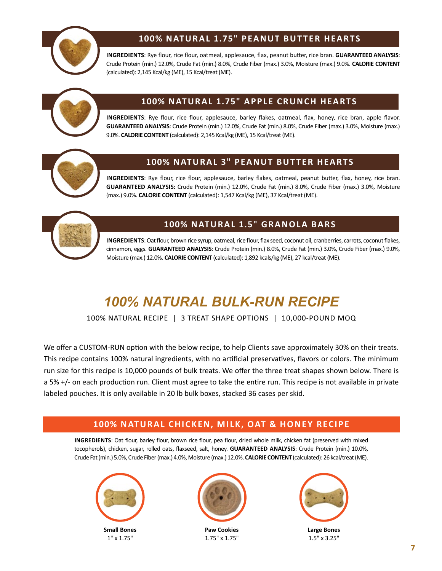

#### **100% NATURAL 1.75" PEANUT BUTTER HEARTS**

**INGREDIENTS**: Rye flour, rice flour, oatmeal, applesauce, flax, peanut butter, rice bran. **GUARANTEED ANALYSIS**: Crude Protein (min.) 12.0%, Crude Fat (min.) 8.0%, Crude Fiber (max.) 3.0%, Moisture (max.) 9.0%. **CALORIE CONTENT** (calculated): 2,145 Kcal/kg (ME), 15 Kcal/treat (ME).



#### **100% NATURAL 1.75" APPLE CRUNCH HEARTS**

**INGREDIENTS**: Rye flour, rice flour, applesauce, barley flakes, oatmeal, flax, honey, rice bran, apple flavor. **GUARANTEED ANALYSIS**: Crude Protein (min.) 12.0%, Crude Fat (min.) 8.0%, Crude Fiber (max.) 3.0%, Moisture (max.) 9.0%. **CALORIE CONTENT** (calculated): 2,145 Kcal/kg (ME), 15 Kcal/treat (ME).



#### **100% NATURAL 3" PEANUT BUTTER HEARTS**

**INGREDIENTS**: Rye flour, rice flour, applesauce, barley flakes, oatmeal, peanut butter, flax, honey, rice bran. **GUARANTEED ANALYSIS:** Crude Protein (min.) 12.0%, Crude Fat (min.) 8.0%, Crude Fiber (max.) 3.0%, Moisture (max.) 9.0%. **CALORIE CONTENT** (calculated): 1,547 Kcal/kg (ME), 37 Kcal/treat (ME).



#### **100% NATURAL 1.5" GRANOLA BARS**

**INGREDIENTS**: Oat flour, brown rice syrup, oatmeal, rice flour, flax seed, coconut oil, cranberries, carrots, coconut flakes, cinnamon, eggs. **GUARANTEED ANALYSIS**: Crude Protein (min.) 8.0%, Crude Fat (min.) 3.0%, Crude Fiber (max.) 9.0%, Moisture (max.) 12.0%. **CALORIE CONTENT** (calculated): 1,892 kcals/kg (ME), 27 kcal/treat (ME).

## *100% NATURAL BULK-RUN RECIPE*

100% NATURAL RECIPE | 3 TREAT SHAPE OPTIONS | 10,000-POUND MOQ

We offer a CUSTOM-RUN option with the below recipe, to help Clients save approximately 30% on their treats. This recipe contains 100% natural ingredients, with no artificial preservatives, flavors or colors. The minimum run size for this recipe is 10,000 pounds of bulk treats. We offer the three treat shapes shown below. There is a 5% +/- on each production run. Client must agree to take the entire run. This recipe is not available in private labeled pouches. It is only available in 20 lb bulk boxes, stacked 36 cases per skid.

#### **100% NATURAL CHICKEN, MILK, OAT & HONEY RECIPE**

**INGREDIENTS**: Oat flour, barley flour, brown rice flour, pea flour, dried whole milk, chicken fat (preserved with mixed tocopherols), chicken, sugar, rolled oats, flaxseed, salt, honey. **GUARANTEED ANALYSIS**: Crude Protein (min.) 10.0%, Crude Fat (min.) 5.0%, Crude Fiber (max.) 4.0%, Moisture (max.) 12.0%. **CALORIE CONTENT** (calculated): 26 kcal/treat (ME).



1" x 1.75"



**Paw Cookies** 1.75" x 1.75"



**Large Bones** 1.5" x 3.25"